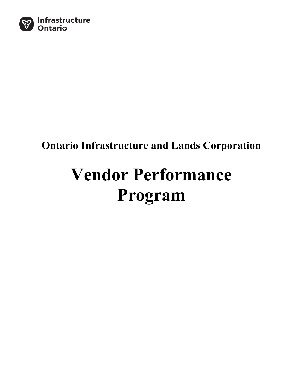

# **Ontario Infrastructure and Lands Corporation**

# **Vendor Performance Program**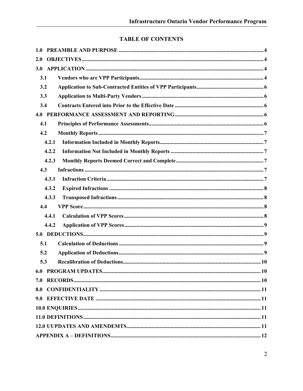# **TABLE OF CONTENTS**

| 1.0   |  |
|-------|--|
| 2.0   |  |
| 3.0   |  |
| 3.1   |  |
| 3.2   |  |
| 3.3   |  |
| 3.4   |  |
| 4.0   |  |
| 4.1   |  |
| 4.2   |  |
| 4.2.1 |  |
| 4.2.2 |  |
| 4.2.3 |  |
| 4.3   |  |
| 4.3.1 |  |
| 4.3.2 |  |
| 4.3.3 |  |
| 4.4   |  |
| 4.4.1 |  |
| 4.4.2 |  |
| 5.0   |  |
| 5.1   |  |
| 5.2   |  |
| 5.3   |  |
|       |  |
| 7.0   |  |
|       |  |
|       |  |
|       |  |
|       |  |
|       |  |
|       |  |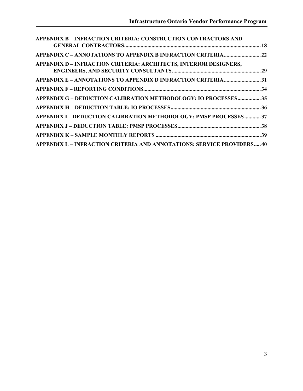| <b>APPENDIX B - INFRACTION CRITERIA: CONSTRUCTION CONTRACTORS AND</b>         |  |
|-------------------------------------------------------------------------------|--|
| APPENDIX C - ANNOTATIONS TO APPENDIX B INFRACTION CRITERIA22                  |  |
| <b>APPENDIX D – INFRACTION CRITERIA: ARCHITECTS, INTERIOR DESIGNERS,</b>      |  |
| APPENDIX E - ANNOTATIONS TO APPENDIX D INFRACTION CRITERIA31                  |  |
|                                                                               |  |
| APPENDIX G - DEDUCTION CALIBRATION METHODOLOGY: IO PROCESSES35                |  |
|                                                                               |  |
| APPENDIX I - DEDUCTION CALIBRATION METHODOLOGY: PMSP PROCESSES37              |  |
|                                                                               |  |
|                                                                               |  |
| <b>APPENDIX L – INFRACTION CRITERIA AND ANNOTATIONS: SERVICE PROVIDERS 40</b> |  |
|                                                                               |  |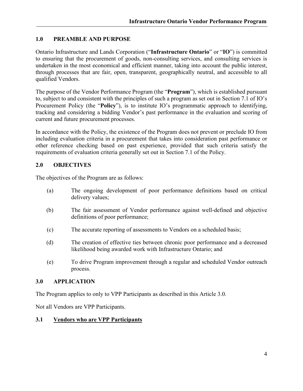#### **1.0 PREAMBLE AND PURPOSE**

Ontario Infrastructure and Lands Corporation ("**Infrastructure Ontario**" or "**IO**") is committed to ensuring that the procurement of goods, non-consulting services, and consulting services is undertaken in the most economical and efficient manner, taking into account the public interest, through processes that are fair, open, transparent, geographically neutral, and accessible to all qualified Vendors.

The purpose of the Vendor Performance Program (the "**Program**"), which is established pursuant to, subject to and consistent with the principles of such a program as set out in Section 7.1 of IO's Procurement Policy (the "**Policy**"), is to institute IO's programmatic approach to identifying, tracking and considering a bidding Vendor's past performance in the evaluation and scoring of current and future procurement processes.

In accordance with the Policy, the existence of the Program does not prevent or preclude IO from including evaluation criteria in a procurement that takes into consideration past performance or other reference checking based on past experience, provided that such criteria satisfy the requirements of evaluation criteria generally set out in Section 7.1 of the Policy.

#### **2.0 OBJECTIVES**

The objectives of the Program are as follows:

- (a) The ongoing development of poor performance definitions based on critical delivery values;
- (b) The fair assessment of Vendor performance against well-defined and objective definitions of poor performance;
- (c) The accurate reporting of assessments to Vendors on a scheduled basis;
- (d) The creation of effective ties between chronic poor performance and a decreased likelihood being awarded work with Infrastructure Ontario; and
- (e) To drive Program improvement through a regular and scheduled Vendor outreach process.

#### **3.0 APPLICATION**

The Program applies to only to VPP Participants as described in this Article 3.0.

Not all Vendors are VPP Participants.

#### **3.1 Vendors who are VPP Participants**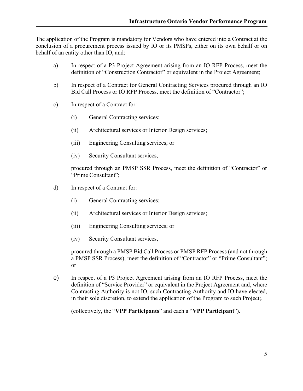The application of the Program is mandatory for Vendors who have entered into a Contract at the conclusion of a procurement process issued by IO or its PMSPs, either on its own behalf or on behalf of an entity other than IO, and:

- a) In respect of a P3 Project Agreement arising from an IO RFP Process, meet the definition of "Construction Contractor" or equivalent in the Project Agreement;
- b) In respect of a Contract for General Contracting Services procured through an IO Bid Call Process or IO RFP Process, meet the definition of "Contractor";
- c) In respect of a Contract for:
	- (i) General Contracting services;
	- (ii) Architectural services or Interior Design services;
	- (iii) Engineering Consulting services; or
	- (iv) Security Consultant services,

procured through an PMSP SSR Process, meet the definition of "Contractor" or "Prime Consultant";

- d) In respect of a Contract for:
	- (i) General Contracting services;
	- (ii) Architectural services or Interior Design services;
	- (iii) Engineering Consulting services; or
	- (iv) Security Consultant services,

procured through a PMSP Bid Call Process or PMSP RFP Process (and not through a PMSP SSR Process), meet the definition of "Contractor" or "Prime Consultant"; or

e) In respect of a P3 Project Agreement arising from an IO RFP Process, meet the definition of "Service Provider" or equivalent in the Project Agreement and, where Contracting Authority is not IO, such Contracting Authority and IO have elected, in their sole discretion, to extend the application of the Program to such Project;.

(collectively, the "**VPP Participants**" and each a "**VPP Participant**").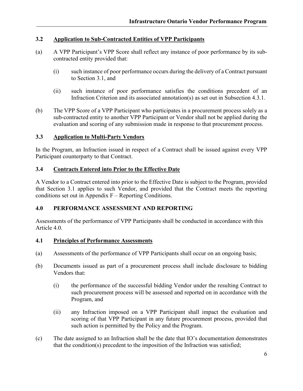#### **3.2 Application to Sub-Contracted Entities of VPP Participants**

- (a) A VPP Participant's VPP Score shall reflect any instance of poor performance by its subcontracted entity provided that:
	- (i) such instance of poor performance occurs during the delivery of a Contract pursuant to Section 3.1, and
	- (ii) such instance of poor performance satisfies the conditions precedent of an Infraction Criterion and its associated annotation(s) as set out in Subsection 4.3.1.
- (b) The VPP Score of a VPP Participant who participates in a procurement process solely as a sub-contracted entity to another VPP Participant or Vendor shall not be applied during the evaluation and scoring of any submission made in response to that procurement process.

#### **3.3 Application to Multi-Party Vendors**

In the Program, an Infraction issued in respect of a Contract shall be issued against every VPP Participant counterparty to that Contract.

#### **3.4 Contracts Entered into Prior to the Effective Date**

A Vendor to a Contract entered into prior to the Effective Date is subject to the Program, provided that Section 3.1 applies to such Vendor, and provided that the Contract meets the reporting conditions set out in Appendix F – Reporting Conditions.

#### **4.0 PERFORMANCE ASSESSMENT AND REPORTING**

Assessments of the performance of VPP Participants shall be conducted in accordance with this Article 4.0.

#### **4.1 Principles of Performance Assessments**

- (a) Assessments of the performance of VPP Participants shall occur on an ongoing basis;
- (b) Documents issued as part of a procurement process shall include disclosure to bidding Vendors that:
	- (i) the performance of the successful bidding Vendor under the resulting Contract to such procurement process will be assessed and reported on in accordance with the Program, and
	- (ii) any Infraction imposed on a VPP Participant shall impact the evaluation and scoring of that VPP Participant in any future procurement process, provided that such action is permitted by the Policy and the Program.
- (c) The date assigned to an Infraction shall be the date that IO's documentation demonstrates that the condition(s) precedent to the imposition of the Infraction was satisfied;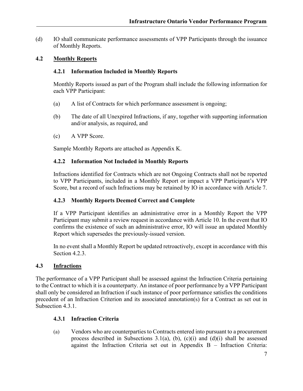(d) IO shall communicate performance assessments of VPP Participants through the issuance of Monthly Reports.

#### **4.2 Monthly Reports**

#### **4.2.1 Information Included in Monthly Reports**

Monthly Reports issued as part of the Program shall include the following information for each VPP Participant:

- (a) A list of Contracts for which performance assessment is ongoing;
- (b) The date of all Unexpired Infractions, if any, together with supporting information and/or analysis, as required, and
- (c) A VPP Score.

Sample Monthly Reports are attached as Appendix K.

#### **4.2.2 Information Not Included in Monthly Reports**

Infractions identified for Contracts which are not Ongoing Contracts shall not be reported to VPP Participants, included in a Monthly Report or impact a VPP Participant's VPP Score, but a record of such Infractions may be retained by IO in accordance with Article 7.

#### **4.2.3 Monthly Reports Deemed Correct and Complete**

If a VPP Participant identifies an administrative error in a Monthly Report the VPP Participant may submit a review request in accordance with Article 10. In the event that IO confirms the existence of such an administrative error, IO will issue an updated Monthly Report which supersedes the previously-issued version.

In no event shall a Monthly Report be updated retroactively, except in accordance with this Section 4.2.3.

#### **4.3 Infractions**

The performance of a VPP Participant shall be assessed against the Infraction Criteria pertaining to the Contract to which it is a counterparty. An instance of poor performance by a VPP Participant shall only be considered an Infraction if such instance of poor performance satisfies the conditions precedent of an Infraction Criterion and its associated annotation(s) for a Contract as set out in Subsection 4.3.1.

#### **4.3.1 Infraction Criteria**

(a) Vendors who are counterparties to Contracts entered into pursuant to a procurement process described in Subsections 3.1(a), (b),  $(c)(i)$  and  $(d)(i)$  shall be assessed against the Infraction Criteria set out in Appendix B – Infraction Criteria: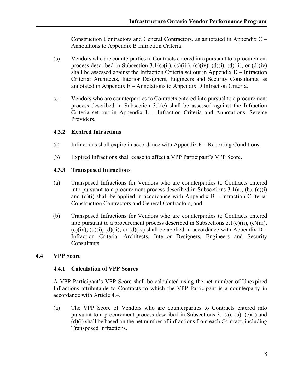Construction Contractors and General Contractors, as annotated in Appendix C – Annotations to Appendix B Infraction Criteria.

- (b) Vendors who are counterparties to Contracts entered into pursuant to a procurement process described in Subsection 3.1(c)(ii), (c)(iii), (c)(iv), (d)(i), (d)(ii), or (d)(iv) shall be assessed against the Infraction Criteria set out in Appendix D – Infraction Criteria: Architects, Interior Designers, Engineers and Security Consultants, as annotated in Appendix E – Annotations to Appendix D Infraction Criteria.
- (c) Vendors who are counterparties to Contracts entered into pursual to a procurement process described in Subsection 3.1(e) shall be assessed against the Infraction Criteria set out in Appendix L – Infraction Criteria and Annotations: Service Providers.

#### **4.3.2 Expired Infractions**

- (a) Infractions shall expire in accordance with Appendix  $F -$  Reporting Conditions.
- (b) Expired Infractions shall cease to affect a VPP Participant's VPP Score.

#### **4.3.3 Transposed Infractions**

- (a) Transposed Infractions for Vendors who are counterparties to Contracts entered into pursuant to a procurement process described in Subsections 3.1(a), (b), (c)(i) and  $(d)(i)$  shall be applied in accordance with Appendix B – Infraction Criteria: Construction Contractors and General Contractors, and
- (b) Transposed Infractions for Vendors who are counterparties to Contracts entered into pursuant to a procurement process described in Subsections 3.1(c)(ii), (c)(iii), (c)(iv), (d)(i), (d)(ii), or (d)(iv) shall be applied in accordance with Appendix  $D -$ Infraction Criteria: Architects, Interior Designers, Engineers and Security Consultants.

#### **4.4 VPP Score**

#### **4.4.1 Calculation of VPP Scores**

A VPP Participant's VPP Score shall be calculated using the net number of Unexpired Infractions attributable to Contracts to which the VPP Participant is a counterparty in accordance with Article 4.4.

(a) The VPP Score of Vendors who are counterparties to Contracts entered into pursuant to a procurement process described in Subsections 3.1(a), (b), (c)(i) and (d)(i) shall be based on the net number of infractions from each Contract, including Transposed Infractions.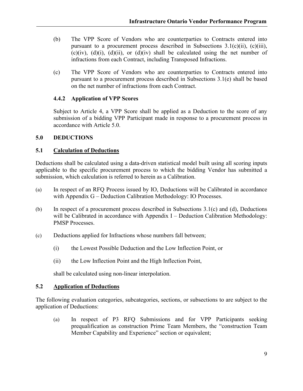- (b) The VPP Score of Vendors who are counterparties to Contracts entered into pursuant to a procurement process described in Subsections 3.1(c)(ii), (c)(iii), (c)(iv), (d)(i), (d)(ii), or (d)(iv) shall be calculated using the net number of infractions from each Contract, including Transposed Infractions.
- (c) The VPP Score of Vendors who are counterparties to Contracts entered into pursuant to a procurement process described in Subsections 3.1(e) shall be based on the net number of infractions from each Contract.

#### **4.4.2 Application of VPP Scores**

Subject to Article 4, a VPP Score shall be applied as a Deduction to the score of any submission of a bidding VPP Participant made in response to a procurement process in accordance with Article 5.0.

#### **5.0 DEDUCTIONS**

#### **5.1 Calculation of Deductions**

Deductions shall be calculated using a data-driven statistical model built using all scoring inputs applicable to the specific procurement process to which the bidding Vendor has submitted a submission, which calculation is referred to herein as a Calibration.

- (a) In respect of an RFQ Process issued by IO, Deductions will be Calibrated in accordance with Appendix G – Deduction Calibration Methodology: IO Processes.
- (b) In respect of a procurement process described in Subsections 3.1(c) and (d), Deductions will be Calibrated in accordance with Appendix I – Deduction Calibration Methodology: PMSP Processes.
- (c) Deductions applied for Infractions whose numbers fall between;
	- (i) the Lowest Possible Deduction and the Low Inflection Point, or
	- (ii) the Low Inflection Point and the High Inflection Point,

shall be calculated using non-linear interpolation.

#### **5.2 Application of Deductions**

The following evaluation categories, subcategories, sections, or subsections to are subject to the application of Deductions:

(a) In respect of P3 RFQ Submissions and for VPP Participants seeking prequalification as construction Prime Team Members, the "construction Team Member Capability and Experience" section or equivalent;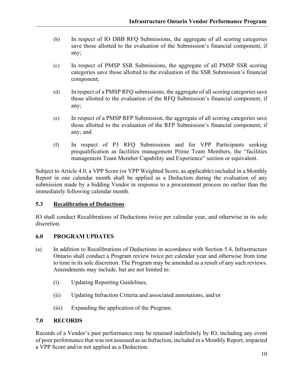- (b) In respect of IO DBB RFQ Submissions, the aggregate of all scoring categories save those allotted to the evaluation of the Submission's financial component, if any;
- (c) In respect of PMSP SSR Submissions, the aggregate of all PMSP SSR scoring categories save those allotted to the evaluation of the SSR Submission's financial component;
- (d) In respect of a PMSP RFQ submissions, the aggregate of all scoring categories save those allotted to the evaluation of the RFQ Submission's financial component, if any;
- (e) In respect of a PMSP RFP Submission, the aggregate of all scoring categories save those allotted to the evaluation of the RFP Submission's financial component, if any; and
- (f) In respect of P3 RFQ Submissions and for VPP Participants seeking prequalification as facilities management Prime Team Members, the "facilities management Team Member Capability and Experience" section or equivalent.

Subject to Article 4.0, a VPP Score (or VPP Weighted Score, as applicable) included in a Monthly Report in one calendar month shall be applied as a Deduction during the evaluation of any submission made by a bidding Vendor in response to a procurement process no earlier than the immediately following calendar month.

#### **5.3 Recalibration of Deductions**

IO shall conduct Recalibrations of Deductions twice per calendar year, and otherwise in its sole discretion.

#### **6.0 PROGRAM UPDATES**

- (a) In addition to Recalibrations of Deductions in accordance with Section 5.4, Infrastructure Ontario shall conduct a Program review twice per calendar year and otherwise from time to time in its sole discretion. The Program may be amended as a result of any such reviews. Amendments may include, but are not limited to:
	- (i) Updating Reporting Guidelines,
	- (ii) Updating Infraction Criteria and associated annotations, and/or
	- (iii) Expanding the application of the Program.

#### **7.0 RECORDS**

Records of a Vendor's past performance may be retained indefinitely by IO, including any event of poor performance that was not assessed as an Infraction, included in a Monthly Report, impacted a VPP Score and/or not applied as a Deduction.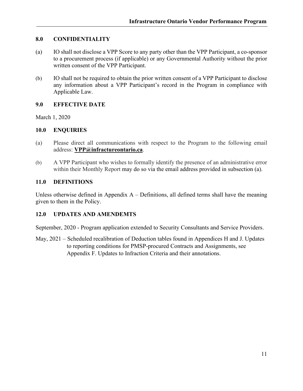#### **8.0 CONFIDENTIALITY**

- (a) IO shall not disclose a VPP Score to any party other than the VPP Participant, a co-sponsor to a procurement process (if applicable) or any Governmental Authority without the prior written consent of the VPP Participant.
- (b) IO shall not be required to obtain the prior written consent of a VPP Participant to disclose any information about a VPP Participant's record in the Program in compliance with Applicable Law.

#### **9.0 EFFECTIVE DATE**

March 1, 2020

#### **10.0 ENQUIRIES**

- (a) Please direct all communications with respect to the Program to the following email address: **[VPP@infractureontario.ca](mailto:VPP@infractureontario.ca)**.
- (b) A VPP Participant who wishes to formally identify the presence of an administrative error within their Monthly Report may do so via the email address provided in subsection (a).

#### **11.0 DEFINITIONS**

Unless otherwise defined in Appendix  $A -$ Definitions, all defined terms shall have the meaning given to them in the Policy.

#### **12.0 UPDATES AND AMENDEMTS**

September, 2020 - Program application extended to Security Consultants and Service Providers.

May, 2021 – Scheduled recalibration of Deduction tables found in Appendices H and J. Updates to reporting conditions for PMSP-procured Contracts and Assignments, see Appendix F. Updates to Infraction Criteria and their annotations.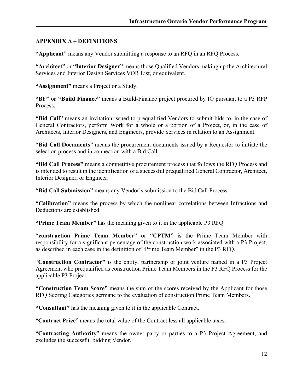#### **APPENDIX A – DEFINITIONS**

**"Applicant"** means any Vendor submitting a response to an RFQ in an RFQ Process.

**"Architect"** or **"Interior Designer"** means those Qualified Vendors making up the Architectural Services and Interior Design Services VOR List, or equivalent.

**"Assignment"** means a Project or a Study.

**"BF" or "Build Finance"** means a Build-Finance project procured by IO pursuant to a P3 RFP Process.

**"Bid Call"** means an invitation issued to prequalified Vendors to submit bids to, in the case of General Contractors, perform Work for a whole or a portion of a Project, or, in the case of Architects, Interior Designers, and Engineers, provide Services in relation to an Assignment.

**"Bid Call Documents"** means the procurement documents issued by a Requestor to initiate the selection process and in connection with a Bid Call.

**"Bid Call Process"** means a competitive procurement process that follows the RFQ Process and is intended to result in the identification of a successful prequalified General Contractor, Architect, Interior Designer, or Engineer.

**"Bid Call Submission"** means any Vendor's submission to the Bid Call Process.

**"Calibration"** means the process by which the nonlinear correlations between Infractions and Deductions are established.

**"Prime Team Member"** has the meaning given to it in the applicable P3 RFQ.

**"construction Prime Team Member"** or **"CPTM"** is the Prime Team Member with responsibility for a significant percentage of the construction work associated with a P3 Project, as described in each case in the definition of "Prime Team Member" in the P3 RFQ.

"**Construction Contractor"** is the entity, partnership or joint venture named in a P3 Project Agreement who prequalified as construction Prime Team Members in the P3 RFQ Process for the applicable P3 Project.

**"Construction Team Score"** means the sum of the scores received by the Applicant for those RFQ Scoring Categories germane to the evaluation of construction Prime Team Members.

**"Consultant"** has the meaning given to it in the applicable Contract.

"**Contract Price**" means the total value of the Contract less all applicable taxes.

"**Contracting Authority**" means the owner party or parties to a P3 Project Agreement, and excludes the successful bidding Vendor.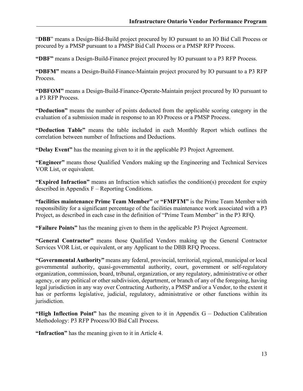"**DBB**" means a Design-Bid-Build project procured by IO pursuant to an IO Bid Call Process or procured by a PMSP pursuant to a PMSP Bid Call Process or a PMSP RFP Process.

**"DBF"** means a Design-Build-Finance project procured by IO pursuant to a P3 RFP Process.

**"DBFM"** means a Design-Build-Finance-Maintain project procured by IO pursuant to a P3 RFP Process.

**"DBFOM"** means a Design-Build-Finance-Operate-Maintain project procured by IO pursuant to a P3 RFP Process.

**"Deduction"** means the number of points deducted from the applicable scoring category in the evaluation of a submission made in response to an IO Process or a PMSP Process.

**"Deduction Table"** means the table included in each Monthly Report which outlines the correlation between number of Infractions and Deductions.

**"Delay Event"** has the meaning given to it in the applicable P3 Project Agreement.

**"Engineer"** means those Qualified Vendors making up the Engineering and Technical Services VOR List, or equivalent.

**"Expired Infraction"** means an Infraction which satisfies the condition(s) precedent for expiry described in Appendix F – Reporting Conditions.

**"facilities maintenance Prime Team Member"** or **"FMPTM"** is the Prime Team Member with responsibility for a significant percentage of the facilities maintenance work associated with a P3 Project, as described in each case in the definition of "Prime Team Member" in the P3 RFQ.

**"Failure Points"** has the meaning given to them in the applicable P3 Project Agreement.

**"General Contractor"** means those Qualified Vendors making up the General Contractor Services VOR List, or equivalent, or any Applicant to the DBB RFQ Process.

**"Governmental Authority"** means any federal, provincial, territorial, regional, municipal or local governmental authority, quasi-governmental authority, court, government or self-regulatory organization, commission, board, tribunal, organization, or any regulatory, administrative or other agency, or any political or other subdivision, department, or branch of any of the foregoing, having legal jurisdiction in any way over Contracting Authority, a PMSP and/or a Vendor, to the extent it has or performs legislative, judicial, regulatory, administrative or other functions within its jurisdiction.

**"High Inflection Point"** has the meaning given to it in Appendix G – Deduction Calibration Methodology: P3 RFP Process/IO Bid Call Process.

**"Infraction"** has the meaning given to it in Article 4.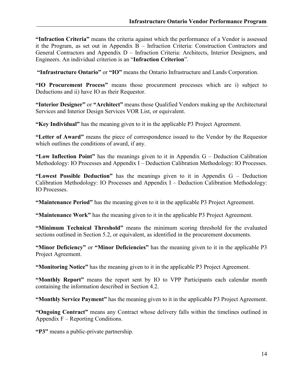**"Infraction Criteria"** means the criteria against which the performance of a Vendor is assessed it the Program, as set out in Appendix B – Infraction Criteria: Construction Contractors and General Contractors and Appendix D – Infraction Criteria: Architects, Interior Designers, and Engineers. An individual criterion is an "**Infraction Criterion**".

**"Infrastructure Ontario"** or **"IO"** means the Ontario Infrastructure and Lands Corporation.

**"IO Procurement Process"** means those procurement processes which are i) subject to Deductions and ii) have IO as their Requestor.

**"Interior Designer"** or **"Architect"** means those Qualified Vendors making up the Architectural Services and Interior Design Services VOR List, or equivalent.

**"Key Individual"** has the meaning given to it in the applicable P3 Project Agreement.

**"Letter of Award"** means the piece of correspondence issued to the Vendor by the Requestor which outlines the conditions of award, if any.

**"Low Inflection Point"** has the meanings given to it in Appendix G – Deduction Calibration Methodology: IO Processes and Appendix I – Deduction Calibration Methodology: IO Processes.

**"Lowest Possible Deduction"** has the meanings given to it in Appendix G – Deduction Calibration Methodology: IO Processes and Appendix I – Deduction Calibration Methodology: IO Processes.

**"Maintenance Period"** has the meaning given to it in the applicable P3 Project Agreement.

**"Maintenance Work"** has the meaning given to it in the applicable P3 Project Agreement.

**"Minimum Technical Threshold"** means the minimum scoring threshold for the evaluated sections outlined in Section 5.2, or equivalent, as identified in the procurement documents.

**"Minor Deficiency"** or **"Minor Deficiencies"** has the meaning given to it in the applicable P3 Project Agreement.

**"Monitoring Notice"** has the meaning given to it in the applicable P3 Project Agreement.

**"Monthly Report"** means the report sent by IO to VPP Participants each calendar month containing the information described in Section 4.2.

**"Monthly Service Payment"** has the meaning given to it in the applicable P3 Project Agreement.

**"Ongoing Contract"** means any Contract whose delivery falls within the timelines outlined in Appendix  $F -$  Reporting Conditions.

**"P3"** means a public-private partnership.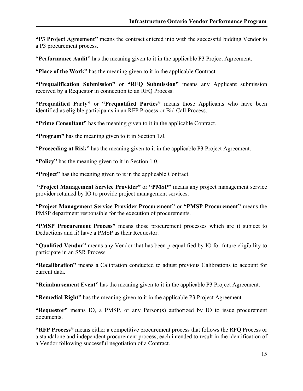**"P3 Project Agreement"** means the contract entered into with the successful bidding Vendor to a P3 procurement process.

**"Performance Audit"** has the meaning given to it in the applicable P3 Project Agreement.

**"Place of the Work"** has the meaning given to it in the applicable Contract.

**"Prequalification Submission"** or **"RFQ Submission"** means any Applicant submission received by a Requestor in connection to an RFQ Process.

**"Prequalified Party"** or **"Prequalified Parties"** means those Applicants who have been identified as eligible participants in an RFP Process or Bid Call Process.

**"Prime Consultant"** has the meaning given to it in the applicable Contract.

**"Program"** has the meaning given to it in Section 1.0.

**"Proceeding at Risk"** has the meaning given to it in the applicable P3 Project Agreement.

**"Policy"** has the meaning given to it in Section 1.0.

**"Project"** has the meaning given to it in the applicable Contract.

**"Project Management Service Provider"** or **"PMSP"** means any project management service provider retained by IO to provide project management services.

**"Project Management Service Provider Procurement"** or **"PMSP Procurement"** means the PMSP department responsible for the execution of procurements.

**"PMSP Procurement Process"** means those procurement processes which are i) subject to Deductions and ii) have a PMSP as their Requestor.

**"Qualified Vendor"** means any Vendor that has been prequalified by IO for future eligibility to participate in an SSR Process.

**"Recalibration"** means a Calibration conducted to adjust previous Calibrations to account for current data.

**"Reimbursement Event"** has the meaning given to it in the applicable P3 Project Agreement.

**"Remedial Right"** has the meaning given to it in the applicable P3 Project Agreement.

**"Requestor"** means IO, a PMSP, or any Person(s) authorized by IO to issue procurement documents.

**"RFP Process"** means either a competitive procurement process that follows the RFQ Process or a standalone and independent procurement process, each intended to result in the identification of a Vendor following successful negotiation of a Contract.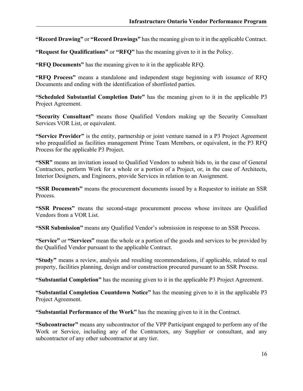**"Record Drawing"** or **"Record Drawings"** has the meaning given to it in the applicable Contract.

**"Request for Qualifications"** or **"RFQ"** has the meaning given to it in the Policy.

**"RFQ Documents"** has the meaning given to it in the applicable RFQ.

**"RFQ Process"** means a standalone and independent stage beginning with issuance of RFQ Documents and ending with the identification of shortlisted parties.

**"Scheduled Substantial Completion Date"** has the meaning given to it in the applicable P3 Project Agreement.

**"Security Consultant"** means those Qualified Vendors making up the Security Consultant Services VOR List, or equivalent.

**"Service Provider"** is the entity, partnership or joint venture named in a P3 Project Agreement who prequalified as facilities management Prime Team Members, or equivalent, in the P3 RFQ Process for the applicable P3 Project.

**"SSR"** means an invitation issued to Qualified Vendors to submit bids to, in the case of General Contractors, perform Work for a whole or a portion of a Project, or, in the case of Architects, Interior Designers, and Engineers, provide Services in relation to an Assignment.

**"SSR Documents"** means the procurement documents issued by a Requestor to initiate an SSR Process.

**"SSR Process"** means the second-stage procurement process whose invitees are Qualified Vendors from a VOR List.

**"SSR Submission"** means any Qualified Vendor's submission in response to an SSR Process.

**"Service"** or **"Services"** mean the whole or a portion of the goods and services to be provided by the Qualified Vendor pursuant to the applicable Contract.

**"Study"** means a review, analysis and resulting recommendations, if applicable, related to real property, facilities planning, design and/or construction procured pursuant to an SSR Process.

**"Substantial Completion"** has the meaning given to it in the applicable P3 Project Agreement.

**"Substantial Completion Countdown Notice"** has the meaning given to it in the applicable P3 Project Agreement.

**"Substantial Performance of the Work"** has the meaning given to it in the Contract.

**"Subcontractor"** means any subcontractor of the VPP Participant engaged to perform any of the Work or Service, including any of the Contractors, any Supplier or consultant, and any subcontractor of any other subcontractor at any tier.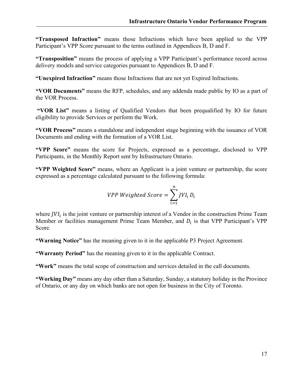**"Transposed Infraction"** means those Infractions which have been applied to the VPP Participant's VPP Score pursuant to the terms outlined in Appendices B, D and F.

**"Transposition"** means the process of applying a VPP Participant's performance record across delivery models and service categories pursuant to Appendices B, D and F.

**"Unexpired Infraction"** means those Infractions that are not yet Expired Infractions.

**"VOR Documents"** means the RFP, schedules, and any addenda made public by IO as a part of the VOR Process.

**"VOR List"** means a listing of Qualified Vendors that been prequalified by IO for future eligibility to provide Services or perform the Work.

**"VOR Process"** means a standalone and independent stage beginning with the issuance of VOR Documents and ending with the formation of a VOR List.

**"VPP Score"** means the score for Projects, expressed as a percentage, disclosed to VPP Participants, in the Monthly Report sent by Infrastructure Ontario.

**"VPP Weighted Score"** means, where an Applicant is a joint venture or partnership, the score expressed as a percentage calculated pursuant to the following formula:

$$
VPP Weighted Score = \sum_{i=1}^{n} JVI_i D_i
$$

where  $JVI_i$  is the joint venture or partnership interest of a Vendor in the construction Prime Team Member or facilities management Prime Team Member, and  $D_i$  is that VPP Participant's VPP Score.

**"Warning Notice"** has the meaning given to it in the applicable P3 Project Agreement.

**"Warranty Period"** has the meaning given to it in the applicable Contract.

**"Work"** means the total scope of construction and services detailed in the call documents.

**"Working Day"** means any day other than a Saturday, Sunday, a statutory holiday in the Province of Ontario, or any day on which banks are not open for business in the City of Toronto.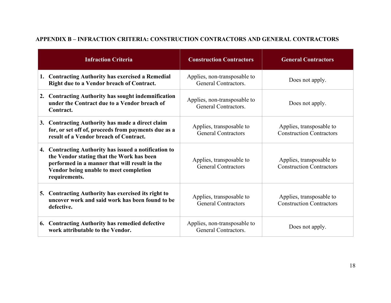| <b>Infraction Criteria</b>                                                                                                                                                                                     | <b>Construction Contractors</b>                        | <b>General Contractors</b>                                  |
|----------------------------------------------------------------------------------------------------------------------------------------------------------------------------------------------------------------|--------------------------------------------------------|-------------------------------------------------------------|
| 1. Contracting Authority has exercised a Remedial<br>Right due to a Vendor breach of Contract.                                                                                                                 | Applies, non-transposable to<br>General Contractors.   | Does not apply.                                             |
| 2. Contracting Authority has sought indemnification<br>under the Contract due to a Vendor breach of<br>Contract.                                                                                               | Applies, non-transposable to<br>General Contractors.   | Does not apply.                                             |
| 3. Contracting Authority has made a direct claim<br>for, or set off of, proceeds from payments due as a<br>result of a Vendor breach of Contract.                                                              | Applies, transposable to<br><b>General Contractors</b> | Applies, transposable to<br><b>Construction Contractors</b> |
| 4. Contracting Authority has issued a notification to<br>the Vendor stating that the Work has been<br>performed in a manner that will result in the<br>Vendor being unable to meet completion<br>requirements. | Applies, transposable to<br><b>General Contractors</b> | Applies, transposable to<br><b>Construction Contractors</b> |
| 5. Contracting Authority has exercised its right to<br>uncover work and said work has been found to be<br>defective.                                                                                           | Applies, transposable to<br><b>General Contractors</b> | Applies, transposable to<br><b>Construction Contractors</b> |
| 6. Contracting Authority has remedied defective<br>work attributable to the Vendor.                                                                                                                            | Applies, non-transposable to<br>General Contractors.   | Does not apply.                                             |

# **APPENDIX B – INFRACTION CRITERIA: CONSTRUCTION CONTRACTORS AND GENERAL CONTRACTORS**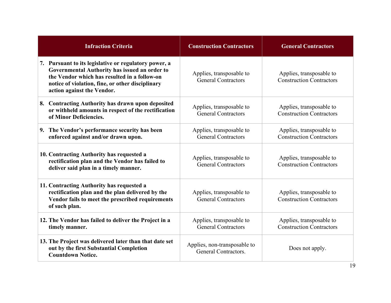| <b>Infraction Criteria</b>                                                                                                                                                                                                               | <b>Construction Contractors</b>                        | <b>General Contractors</b>                                  |
|------------------------------------------------------------------------------------------------------------------------------------------------------------------------------------------------------------------------------------------|--------------------------------------------------------|-------------------------------------------------------------|
| 7. Pursuant to its legislative or regulatory power, a<br>Governmental Authority has issued an order to<br>the Vendor which has resulted in a follow-on<br>notice of violation, fine, or other disciplinary<br>action against the Vendor. | Applies, transposable to<br><b>General Contractors</b> | Applies, transposable to<br><b>Construction Contractors</b> |
| 8. Contracting Authority has drawn upon deposited<br>or withheld amounts in respect of the rectification<br>of Minor Deficiencies.                                                                                                       | Applies, transposable to<br><b>General Contractors</b> | Applies, transposable to<br><b>Construction Contractors</b> |
| 9. The Vendor's performance security has been<br>enforced against and/or drawn upon.                                                                                                                                                     | Applies, transposable to<br><b>General Contractors</b> | Applies, transposable to<br><b>Construction Contractors</b> |
| 10. Contracting Authority has requested a<br>rectification plan and the Vendor has failed to<br>deliver said plan in a timely manner.                                                                                                    | Applies, transposable to<br><b>General Contractors</b> | Applies, transposable to<br><b>Construction Contractors</b> |
| 11. Contracting Authority has requested a<br>rectification plan and the plan delivered by the<br>Vendor fails to meet the prescribed requirements<br>of such plan.                                                                       | Applies, transposable to<br><b>General Contractors</b> | Applies, transposable to<br><b>Construction Contractors</b> |
| 12. The Vendor has failed to deliver the Project in a<br>timely manner.                                                                                                                                                                  | Applies, transposable to<br><b>General Contractors</b> | Applies, transposable to<br><b>Construction Contractors</b> |
| 13. The Project was delivered later than that date set<br>out by the first Substantial Completion<br><b>Countdown Notice.</b>                                                                                                            | Applies, non-transposable to<br>General Contractors.   | Does not apply.                                             |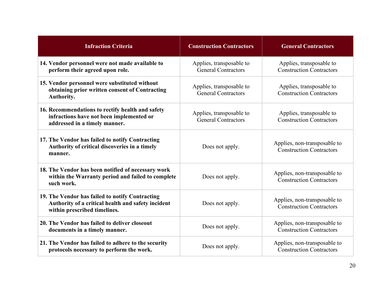| <b>Infraction Criteria</b>                                                                                                            | <b>Construction Contractors</b>                        | <b>General Contractors</b>                                      |
|---------------------------------------------------------------------------------------------------------------------------------------|--------------------------------------------------------|-----------------------------------------------------------------|
| 14. Vendor personnel were not made available to<br>perform their agreed upon role.                                                    | Applies, transposable to<br><b>General Contractors</b> | Applies, transposable to<br><b>Construction Contractors</b>     |
| 15. Vendor personnel were substituted without<br>obtaining prior written consent of Contracting<br>Authority.                         | Applies, transposable to<br><b>General Contractors</b> | Applies, transposable to<br><b>Construction Contractors</b>     |
| 16. Recommendations to rectify health and safety<br>infractions have not been implemented or<br>addressed in a timely manner.         | Applies, transposable to<br><b>General Contractors</b> | Applies, transposable to<br><b>Construction Contractors</b>     |
| 17. The Vendor has failed to notify Contracting<br>Authority of critical discoveries in a timely<br>manner.                           | Does not apply.                                        | Applies, non-transposable to<br><b>Construction Contractors</b> |
| 18. The Vendor has been notified of necessary work<br>within the Warranty period and failed to complete<br>such work.                 | Does not apply.                                        | Applies, non-transposable to<br><b>Construction Contractors</b> |
| 19. The Vendor has failed to notify Contracting<br>Authority of a critical health and safety incident<br>within prescribed timelines. | Does not apply.                                        | Applies, non-transposable to<br><b>Construction Contractors</b> |
| 20. The Vendor has failed to deliver closeout<br>documents in a timely manner.                                                        | Does not apply.                                        | Applies, non-transposable to<br><b>Construction Contractors</b> |
| 21. The Vendor has failed to adhere to the security<br>protocols necessary to perform the work.                                       | Does not apply.                                        | Applies, non-transposable to<br><b>Construction Contractors</b> |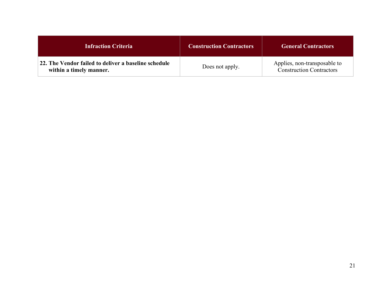| <b>Infraction Criteria</b>                                                      | <b>Construction Contractors</b> | <b>General Contractors</b>                                      |
|---------------------------------------------------------------------------------|---------------------------------|-----------------------------------------------------------------|
| 22. The Vendor failed to deliver a baseline schedule<br>within a timely manner. | Does not apply.                 | Applies, non-transposable to<br><b>Construction Contractors</b> |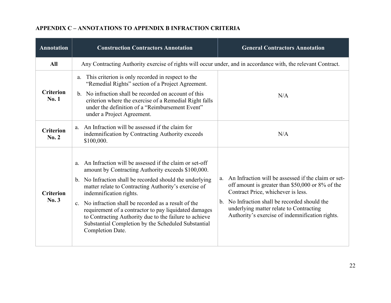| <b>Annotation</b>         | <b>Construction Contractors Annotation</b>                                                                                                                                                                                                                                                                                                                                                                                                                                                                               | <b>General Contractors Annotation</b>                                                                                                                                                                                                                                                                             |
|---------------------------|--------------------------------------------------------------------------------------------------------------------------------------------------------------------------------------------------------------------------------------------------------------------------------------------------------------------------------------------------------------------------------------------------------------------------------------------------------------------------------------------------------------------------|-------------------------------------------------------------------------------------------------------------------------------------------------------------------------------------------------------------------------------------------------------------------------------------------------------------------|
| <b>All</b>                | Any Contracting Authority exercise of rights will occur under, and in accordance with, the relevant Contract.                                                                                                                                                                                                                                                                                                                                                                                                            |                                                                                                                                                                                                                                                                                                                   |
| <b>Criterion</b><br>No.1  | This criterion is only recorded in respect to the<br>a.<br>"Remedial Rights" section of a Project Agreement.<br>b. No infraction shall be recorded on account of this<br>criterion where the exercise of a Remedial Right falls<br>under the definition of a "Reimbursement Event"<br>under a Project Agreement.                                                                                                                                                                                                         | N/A                                                                                                                                                                                                                                                                                                               |
| <b>Criterion</b><br>No. 2 | a. An Infraction will be assessed if the claim for<br>indemnification by Contracting Authority exceeds<br>\$100,000.                                                                                                                                                                                                                                                                                                                                                                                                     | N/A                                                                                                                                                                                                                                                                                                               |
| <b>Criterion</b><br>No.3  | An Infraction will be assessed if the claim or set-off<br>a.<br>amount by Contracting Authority exceeds \$100,000.<br>b. No Infraction shall be recorded should the underlying<br>matter relate to Contracting Authority's exercise of<br>indemnification rights.<br>c. No infraction shall be recorded as a result of the<br>requirement of a contractor to pay liquidated damages<br>to Contracting Authority due to the failure to achieve<br>Substantial Completion by the Scheduled Substantial<br>Completion Date. | An Infraction will be assessed if the claim or set-<br>a.<br>off amount is greater than \$50,000 or 8% of the<br>Contract Price, whichever is less.<br>No Infraction shall be recorded should the<br>$\mathbf{b}$ .<br>underlying matter relate to Contracting<br>Authority's exercise of indemnification rights. |

#### **APPENDIX C – ANNOTATIONS TO APPENDIX B INFRACTION CRITERIA**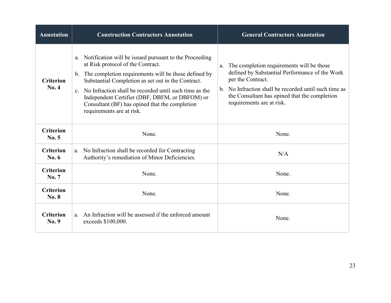| <b>Annotation</b>                | <b>Construction Contractors Annotation</b>                                                                                                                                                                                                                                                                                                                                                                                                     | <b>General Contractors Annotation</b>                                                                                                                                                                                                                         |
|----------------------------------|------------------------------------------------------------------------------------------------------------------------------------------------------------------------------------------------------------------------------------------------------------------------------------------------------------------------------------------------------------------------------------------------------------------------------------------------|---------------------------------------------------------------------------------------------------------------------------------------------------------------------------------------------------------------------------------------------------------------|
| <b>Criterion</b><br>No. 4        | Notification will be issued pursuant to the Proceeding<br>a.<br>at Risk protocol of the Contract.<br>The completion requirements will be those defined by<br>$\mathbf{b}$ .<br>Substantial Completion as set out in the Contract.<br>No Infraction shall be recorded until such time as the<br>C <sub>1</sub><br>Independent Certifier (DBF, DBFM, or DBFOM) or<br>Consultant (BF) has opined that the completion<br>requirements are at risk. | The completion requirements will be those<br>a.<br>defined by Substantial Performance of the Work<br>per the Contract.<br>b. No Infraction shall be recorded until such time as<br>the Consultant has opined that the completion<br>requirements are at risk. |
| <b>Criterion</b><br>No. 5        | None.                                                                                                                                                                                                                                                                                                                                                                                                                                          | None.                                                                                                                                                                                                                                                         |
| <b>Criterion</b><br>No. 6        | No Infraction shall be recorded for Contracting<br>a.<br>Authority's remediation of Minor Deficiencies.                                                                                                                                                                                                                                                                                                                                        | N/A                                                                                                                                                                                                                                                           |
| <b>Criterion</b><br>No. 7        | None.                                                                                                                                                                                                                                                                                                                                                                                                                                          | None.                                                                                                                                                                                                                                                         |
| <b>Criterion</b><br><b>No. 8</b> | None.                                                                                                                                                                                                                                                                                                                                                                                                                                          | None.                                                                                                                                                                                                                                                         |
| <b>Criterion</b><br>No. 9        | a. An Infraction will be assessed if the enforced amount<br>exceeds \$100,000.                                                                                                                                                                                                                                                                                                                                                                 | None.                                                                                                                                                                                                                                                         |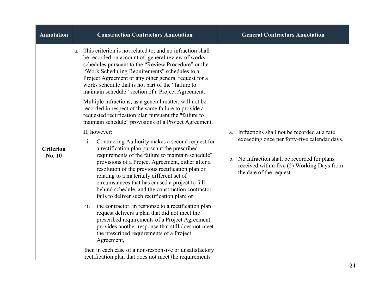| <b>Annotation</b>                 | <b>Construction Contractors Annotation</b>                                                                                                                                                                                                                                                                                                                                                                                                                                                                                                                                                                                                                                                                                                                                                                                                                                                                                                                                                                                                                                                                                                                                                                                                                                                                                                                                                                                                                                                                                               | <b>General Contractors Annotation</b>                                                                                                                                                                                       |
|-----------------------------------|------------------------------------------------------------------------------------------------------------------------------------------------------------------------------------------------------------------------------------------------------------------------------------------------------------------------------------------------------------------------------------------------------------------------------------------------------------------------------------------------------------------------------------------------------------------------------------------------------------------------------------------------------------------------------------------------------------------------------------------------------------------------------------------------------------------------------------------------------------------------------------------------------------------------------------------------------------------------------------------------------------------------------------------------------------------------------------------------------------------------------------------------------------------------------------------------------------------------------------------------------------------------------------------------------------------------------------------------------------------------------------------------------------------------------------------------------------------------------------------------------------------------------------------|-----------------------------------------------------------------------------------------------------------------------------------------------------------------------------------------------------------------------------|
| <b>Criterion</b><br><b>No. 10</b> | This criterion is not related to, and no infraction shall<br>a.<br>be recorded on account of, general review of works<br>schedules pursuant to the "Review Procedure" or the<br>"Work Scheduling Requirements" schedules to a<br>Project Agreement or any other general request for a<br>works schedule that is not part of the "failure to<br>maintain schedule" section of a Project Agreement.<br>Multiple infractions, as a general matter, will not be<br>recorded in respect of the same failure to provide a<br>requested rectification plan pursuant the "failure to<br>maintain schedule" provisions of a Project Agreement.<br>If, however:<br>Contracting Authority makes a second request for<br>i.<br>a rectification plan pursuant the prescribed<br>requirements of the failure to maintain schedule"<br>provisions of a Project Agreement, either after a<br>resolution of the previous rectification plan or<br>relating to a materially different set of<br>circumstances that has caused a project to fall<br>behind schedule, and the construction contractor<br>fails to deliver such rectification plan; or<br>ii.<br>the contractor, in response to a rectification plan<br>request delivers a plan that did not meet the<br>prescribed requirements of a Project Agreement,<br>provides another response that still does not meet<br>the prescribed requirements of a Project<br>Agreement,<br>then in each case of a non-responsive or unsatisfactory<br>rectification plan that does not meet the requirements | Infractions shall not be recorded at a rate<br>a.<br>exceeding once per forty-five calendar days.<br>b. No Infraction shall be recorded for plans<br>received within five (5) Working Days from<br>the date of the request. |
|                                   |                                                                                                                                                                                                                                                                                                                                                                                                                                                                                                                                                                                                                                                                                                                                                                                                                                                                                                                                                                                                                                                                                                                                                                                                                                                                                                                                                                                                                                                                                                                                          |                                                                                                                                                                                                                             |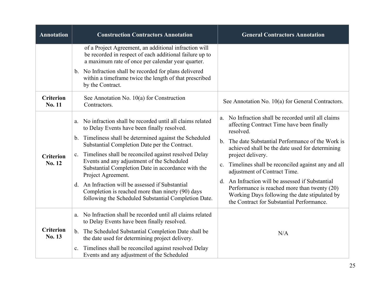| <b>Annotation</b>          | <b>Construction Contractors Annotation</b>                                                                                                                                                                                                                                                                                                                                                                                                                                                                                                                                                    | <b>General Contractors Annotation</b>                                                                                                                                                                                                                                                                                                                                                                                                                                                                                                                                 |
|----------------------------|-----------------------------------------------------------------------------------------------------------------------------------------------------------------------------------------------------------------------------------------------------------------------------------------------------------------------------------------------------------------------------------------------------------------------------------------------------------------------------------------------------------------------------------------------------------------------------------------------|-----------------------------------------------------------------------------------------------------------------------------------------------------------------------------------------------------------------------------------------------------------------------------------------------------------------------------------------------------------------------------------------------------------------------------------------------------------------------------------------------------------------------------------------------------------------------|
|                            | of a Project Agreement, an additional infraction will<br>be recorded in respect of each additional failure up to<br>a maximum rate of once per calendar year quarter.<br>b. No Infraction shall be recorded for plans delivered<br>within a timeframe twice the length of that prescribed<br>by the Contract.                                                                                                                                                                                                                                                                                 |                                                                                                                                                                                                                                                                                                                                                                                                                                                                                                                                                                       |
| <b>Criterion</b><br>No. 11 | See Annotation No. $10(a)$ for Construction<br>Contractors.                                                                                                                                                                                                                                                                                                                                                                                                                                                                                                                                   | See Annotation No. 10(a) for General Contractors.                                                                                                                                                                                                                                                                                                                                                                                                                                                                                                                     |
| <b>Criterion</b><br>No. 12 | a. No infraction shall be recorded until all claims related<br>to Delay Events have been finally resolved.<br>b. Timeliness shall be determined against the Scheduled<br>Substantial Completion Date per the Contract.<br>Timelines shall be reconciled against resolved Delay<br>$\mathbf{c}$ .<br>Events and any adjustment of the Scheduled<br>Substantial Completion Date in accordance with the<br>Project Agreement.<br>An Infraction will be assessed if Substantial<br>d.<br>Completion is reached more than ninety (90) days<br>following the Scheduled Substantial Completion Date. | No Infraction shall be recorded until all claims<br>a.<br>affecting Contract Time have been finally<br>resolved.<br>The date Substantial Performance of the Work is<br>$\mathbf b$ .<br>achieved shall be the date used for determining<br>project delivery.<br>Timelines shall be reconciled against any and all<br>$\mathbf{c}$ .<br>adjustment of Contract Time.<br>d. An Infraction will be assessed if Substantial<br>Performance is reached more than twenty (20)<br>Working Days following the date stipulated by<br>the Contract for Substantial Performance. |
| <b>Criterion</b><br>No. 13 | No Infraction shall be recorded until all claims related<br>a.<br>to Delay Events have been finally resolved.<br>b. The Scheduled Substantial Completion Date shall be<br>the date used for determining project delivery.<br>Timelines shall be reconciled against resolved Delay<br>c.<br>Events and any adjustment of the Scheduled                                                                                                                                                                                                                                                         | N/A                                                                                                                                                                                                                                                                                                                                                                                                                                                                                                                                                                   |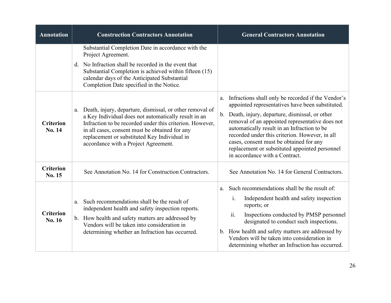| <b>Annotation</b>          | <b>Construction Contractors Annotation</b>                                                                                                                                                                                                                                                                                | <b>General Contractors Annotation</b>                                                                                                                                                                                                                                                                                                                                                                                                               |
|----------------------------|---------------------------------------------------------------------------------------------------------------------------------------------------------------------------------------------------------------------------------------------------------------------------------------------------------------------------|-----------------------------------------------------------------------------------------------------------------------------------------------------------------------------------------------------------------------------------------------------------------------------------------------------------------------------------------------------------------------------------------------------------------------------------------------------|
|                            | Substantial Completion Date in accordance with the<br>Project Agreement.<br>d. No Infraction shall be recorded in the event that<br>Substantial Completion is achieved within fifteen (15)<br>calendar days of the Anticipated Substantial<br>Completion Date specified in the Notice.                                    |                                                                                                                                                                                                                                                                                                                                                                                                                                                     |
| <b>Criterion</b><br>No. 14 | a. Death, injury, departure, dismissal, or other removal of<br>a Key Individual does not automatically result in an<br>Infraction to be recorded under this criterion. However,<br>in all cases, consent must be obtained for any<br>replacement or substituted Key Individual in<br>accordance with a Project Agreement. | Infractions shall only be recorded if the Vendor's<br>a.<br>appointed representatives have been substituted.<br>b. Death, injury, departure, dismissal, or other<br>removal of an appointed representative does not<br>automatically result in an Infraction to be<br>recorded under this criterion. However, in all<br>cases, consent must be obtained for any<br>replacement or substituted appointed personnel<br>in accordance with a Contract. |
| <b>Criterion</b><br>No. 15 | See Annotation No. 14 for Construction Contractors.                                                                                                                                                                                                                                                                       | See Annotation No. 14 for General Contractors.                                                                                                                                                                                                                                                                                                                                                                                                      |
| <b>Criterion</b><br>No. 16 | Such recommendations shall be the result of<br>a.<br>independent health and safety inspection reports.<br>b. How health and safety matters are addressed by<br>Vendors will be taken into consideration in<br>determining whether an Infraction has occurred.                                                             | Such recommendations shall be the result of:<br>a.<br>Independent health and safety inspection<br>1.<br>reports; or<br>ii.<br>Inspections conducted by PMSP personnel<br>designated to conduct such inspections.<br>b. How health and safety matters are addressed by<br>Vendors will be taken into consideration in<br>determining whether an Infraction has occurred.                                                                             |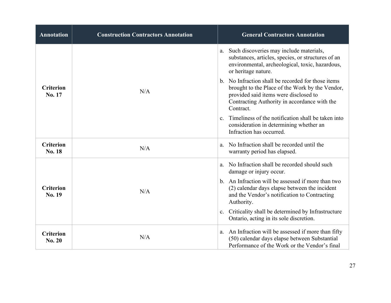| <b>Annotation</b>                 | <b>Construction Contractors Annotation</b> | <b>General Contractors Annotation</b>                                                                                                                                                                       |
|-----------------------------------|--------------------------------------------|-------------------------------------------------------------------------------------------------------------------------------------------------------------------------------------------------------------|
|                                   |                                            | a. Such discoveries may include materials,<br>substances, articles, species, or structures of an<br>environmental, archeological, toxic, hazardous,<br>or heritage nature.                                  |
| <b>Criterion</b><br>No. 17        | N/A                                        | b. No Infraction shall be recorded for those items<br>brought to the Place of the Work by the Vendor,<br>provided said items were disclosed to<br>Contracting Authority in accordance with the<br>Contract. |
|                                   |                                            | Timeliness of the notification shall be taken into<br>$\mathbf{c}$ .<br>consideration in determining whether an<br>Infraction has occurred.                                                                 |
| <b>Criterion</b><br>No. 18        | N/A                                        | No Infraction shall be recorded until the<br>a.<br>warranty period has elapsed.                                                                                                                             |
|                                   |                                            | No Infraction shall be recorded should such<br>a.<br>damage or injury occur.                                                                                                                                |
| <b>Criterion</b><br>No. 19        | N/A                                        | b. An Infraction will be assessed if more than two<br>(2) calendar days elapse between the incident<br>and the Vendor's notification to Contracting<br>Authority.                                           |
|                                   |                                            | Criticality shall be determined by Infrastructure<br>c.<br>Ontario, acting in its sole discretion.                                                                                                          |
| <b>Criterion</b><br><b>No. 20</b> | N/A                                        | An Infraction will be assessed if more than fifty<br>a.<br>(50) calendar days elapse between Substantial<br>Performance of the Work or the Vendor's final                                                   |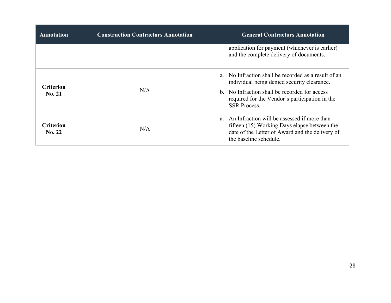| <b>Annotation</b>          | <b>Construction Contractors Annotation</b> | <b>General Contractors Annotation</b>                                                                                                                                          |  |  |  |  |
|----------------------------|--------------------------------------------|--------------------------------------------------------------------------------------------------------------------------------------------------------------------------------|--|--|--|--|
|                            |                                            | application for payment (whichever is earlier)<br>and the complete delivery of documents.                                                                                      |  |  |  |  |
| <b>Criterion</b><br>No. 21 |                                            | No Infraction shall be recorded as a result of an<br>a <sub>z</sub><br>individual being denied security clearance.                                                             |  |  |  |  |
|                            | N/A                                        | No Infraction shall be recorded for access<br>$h_{\cdot}$<br>required for the Vendor's participation in the<br><b>SSR Process.</b>                                             |  |  |  |  |
| <b>Criterion</b><br>No. 22 | N/A                                        | An Infraction will be assessed if more than<br>a.<br>fifteen (15) Working Days elapse between the<br>date of the Letter of Award and the delivery of<br>the baseline schedule. |  |  |  |  |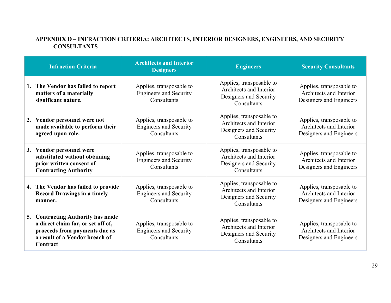# **APPENDIX D – INFRACTION CRITERIA: ARCHITECTS, INTERIOR DESIGNERS, ENGINEERS, AND SECURITY CONSULTANTS**

| <b>Infraction Criteria</b>                                                                                                                             | <b>Architects and Interior</b><br><b>Designers</b>                       | <b>Engineers</b>                                                                             | <b>Security Consultants</b>                                                    |
|--------------------------------------------------------------------------------------------------------------------------------------------------------|--------------------------------------------------------------------------|----------------------------------------------------------------------------------------------|--------------------------------------------------------------------------------|
| 1. The Vendor has failed to report<br>matters of a materially<br>significant nature.                                                                   | Applies, transposable to<br><b>Engineers and Security</b><br>Consultants | Applies, transposable to<br>Architects and Interior<br>Designers and Security<br>Consultants | Applies, transposable to<br>Architects and Interior<br>Designers and Engineers |
| 2. Vendor personnel were not<br>made available to perform their<br>agreed upon role.                                                                   | Applies, transposable to<br><b>Engineers and Security</b><br>Consultants | Applies, transposable to<br>Architects and Interior<br>Designers and Security<br>Consultants | Applies, transposable to<br>Architects and Interior<br>Designers and Engineers |
| 3. Vendor personnel were<br>substituted without obtaining<br>prior written consent of<br><b>Contracting Authority</b>                                  | Applies, transposable to<br><b>Engineers and Security</b><br>Consultants | Applies, transposable to<br>Architects and Interior<br>Designers and Security<br>Consultants | Applies, transposable to<br>Architects and Interior<br>Designers and Engineers |
| 4. The Vendor has failed to provide<br><b>Record Drawings in a timely</b><br>manner.                                                                   | Applies, transposable to<br><b>Engineers and Security</b><br>Consultants | Applies, transposable to<br>Architects and Interior<br>Designers and Security<br>Consultants | Applies, transposable to<br>Architects and Interior<br>Designers and Engineers |
| 5. Contracting Authority has made<br>a direct claim for, or set off of,<br>proceeds from payments due as<br>a result of a Vendor breach of<br>Contract | Applies, transposable to<br><b>Engineers and Security</b><br>Consultants | Applies, transposable to<br>Architects and Interior<br>Designers and Security<br>Consultants | Applies, transposable to<br>Architects and Interior<br>Designers and Engineers |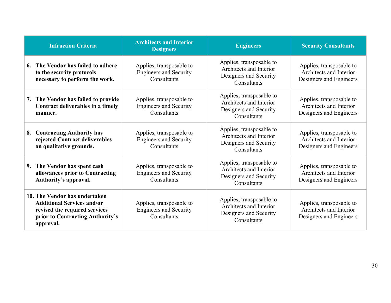|    | <b>Infraction Criteria</b>                                                                                                                           | <b>Architects and Interior</b><br><b>Designers</b>                                                                                                                       | <b>Engineers</b>                                                                             | <b>Security Consultants</b>                                                    |
|----|------------------------------------------------------------------------------------------------------------------------------------------------------|--------------------------------------------------------------------------------------------------------------------------------------------------------------------------|----------------------------------------------------------------------------------------------|--------------------------------------------------------------------------------|
|    | 6. The Vendor has failed to adhere<br>to the security protocols<br>necessary to perform the work.                                                    | Applies, transposable to<br><b>Engineers and Security</b><br>Consultants                                                                                                 | Applies, transposable to<br>Architects and Interior<br>Designers and Security<br>Consultants | Applies, transposable to<br>Architects and Interior<br>Designers and Engineers |
| 7. | The Vendor has failed to provide<br>Contract deliverables in a timely<br>manner.                                                                     | Applies, transposable to<br>Applies, transposable to<br>Architects and Interior<br><b>Engineers and Security</b><br>Designers and Security<br>Consultants<br>Consultants |                                                                                              | Applies, transposable to<br>Architects and Interior<br>Designers and Engineers |
| 8. | <b>Contracting Authority has</b><br>rejected Contract deliverables<br>on qualitative grounds.                                                        | Applies, transposable to<br><b>Engineers and Security</b><br>Consultants                                                                                                 | Applies, transposable to<br>Architects and Interior<br>Designers and Security<br>Consultants | Applies, transposable to<br>Architects and Interior<br>Designers and Engineers |
| 9. | The Vendor has spent cash<br>allowances prior to Contracting<br>Authority's approval.                                                                | Applies, transposable to<br><b>Engineers and Security</b><br>Consultants                                                                                                 | Applies, transposable to<br>Architects and Interior<br>Designers and Security<br>Consultants | Applies, transposable to<br>Architects and Interior<br>Designers and Engineers |
|    | 10. The Vendor has undertaken<br><b>Additional Services and/or</b><br>revised the required services<br>prior to Contracting Authority's<br>approval. | Applies, transposable to<br><b>Engineers and Security</b><br>Consultants                                                                                                 | Applies, transposable to<br>Architects and Interior<br>Designers and Security<br>Consultants | Applies, transposable to<br>Architects and Interior<br>Designers and Engineers |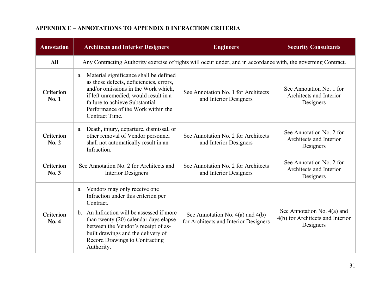# **APPENDIX E – ANNOTATIONS TO APPENDIX D INFRACTION CRITERIA**

| <b>Annotation</b>                | <b>Architects and Interior Designers</b>                                                                                                                                                                                                                                                                         | <b>Engineers</b>                                                              | <b>Security Consultants</b>                                                    |  |  |  |  |
|----------------------------------|------------------------------------------------------------------------------------------------------------------------------------------------------------------------------------------------------------------------------------------------------------------------------------------------------------------|-------------------------------------------------------------------------------|--------------------------------------------------------------------------------|--|--|--|--|
| All                              | Any Contracting Authority exercise of rights will occur under, and in accordance with, the governing Contract.                                                                                                                                                                                                   |                                                                               |                                                                                |  |  |  |  |
| <b>Criterion</b><br><b>No. 1</b> | Material significance shall be defined<br>a.<br>as those defects, deficiencies, errors,<br>and/or omissions in the Work which,<br>if left unremedied, would result in a<br>failure to achieve Substantial<br>Performance of the Work within the<br>Contract Time.                                                | See Annotation No. 1 for Architects<br>and Interior Designers                 | See Annotation No. 1 for<br>Architects and Interior<br>Designers               |  |  |  |  |
| <b>Criterion</b><br>No. 2        | Death, injury, departure, dismissal, or<br>a.<br>other removal of Vendor personnel<br>shall not automatically result in an<br>Infraction.                                                                                                                                                                        | See Annotation No. 2 for Architects<br>and Interior Designers                 | See Annotation No. 2 for<br>Architects and Interior<br>Designers               |  |  |  |  |
| <b>Criterion</b><br>No.3         | See Annotation No. 2 for Architects and<br><b>Interior Designers</b>                                                                                                                                                                                                                                             | See Annotation No. 2 for Architects<br>and Interior Designers                 | See Annotation No. 2 for<br>Architects and Interior<br>Designers               |  |  |  |  |
| <b>Criterion</b><br><b>No. 4</b> | Vendors may only receive one<br>a.<br>Infraction under this criterion per<br>Contract.<br>b. An Infraction will be assessed if more<br>than twenty (20) calendar days elapse<br>between the Vendor's receipt of as-<br>built drawings and the delivery of<br><b>Record Drawings to Contracting</b><br>Authority. | See Annotation No. $4(a)$ and $4(b)$<br>for Architects and Interior Designers | See Annotation No. $4(a)$ and<br>4(b) for Architects and Interior<br>Designers |  |  |  |  |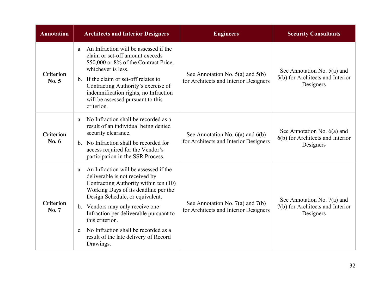| <b>Annotation</b>                | <b>Architects and Interior Designers</b>                                                                                                                                                                                                                                                                                                                                                                       | <b>Engineers</b>                                                              | <b>Security Consultants</b>                                                    |  |  |
|----------------------------------|----------------------------------------------------------------------------------------------------------------------------------------------------------------------------------------------------------------------------------------------------------------------------------------------------------------------------------------------------------------------------------------------------------------|-------------------------------------------------------------------------------|--------------------------------------------------------------------------------|--|--|
| <b>Criterion</b><br>No. 5        | a. An Infraction will be assessed if the<br>claim or set-off amount exceeds<br>\$50,000 or 8% of the Contract Price,<br>whichever is less.<br>b. If the claim or set-off relates to<br>Contracting Authority's exercise of<br>indemnification rights, no Infraction<br>will be assessed pursuant to this<br>criterion.                                                                                         | See Annotation No. $5(a)$ and $5(b)$<br>for Architects and Interior Designers | See Annotation No. $5(a)$ and<br>5(b) for Architects and Interior<br>Designers |  |  |
| <b>Criterion</b><br><b>No. 6</b> | No Infraction shall be recorded as a<br>a.<br>result of an individual being denied<br>security clearance.<br>b. No Infraction shall be recorded for<br>access required for the Vendor's<br>participation in the SSR Process.                                                                                                                                                                                   | See Annotation No. $6(a)$ and $6(b)$<br>for Architects and Interior Designers | See Annotation No. $6(a)$ and<br>6(b) for Architects and Interior<br>Designers |  |  |
| <b>Criterion</b><br><b>No.7</b>  | a. An Infraction will be assessed if the<br>deliverable is not received by<br>Contracting Authority within ten (10)<br>Working Days of its deadline per the<br>Design Schedule, or equivalent.<br>b. Vendors may only receive one<br>Infraction per deliverable pursuant to<br>this criterion.<br>No Infraction shall be recorded as a<br>$\mathbf{c}$ .<br>result of the late delivery of Record<br>Drawings. | See Annotation No. 7(a) and 7(b)<br>for Architects and Interior Designers     | See Annotation No. $7(a)$ and<br>7(b) for Architects and Interior<br>Designers |  |  |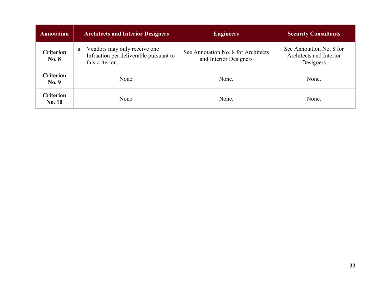| <b>Annotation</b>                 | <b>Architects and Interior Designers</b>                                                        | <b>Engineers</b>                                              | <b>Security Consultants</b>                                      |  |  |
|-----------------------------------|-------------------------------------------------------------------------------------------------|---------------------------------------------------------------|------------------------------------------------------------------|--|--|
| <b>Criterion</b><br>No. 8         | Vendors may only receive one<br>a.<br>Infraction per deliverable pursuant to<br>this criterion. | See Annotation No. 8 for Architects<br>and Interior Designers | See Annotation No. 8 for<br>Architects and Interior<br>Designers |  |  |
| <b>Criterion</b><br>No. 9         | None.                                                                                           | None.                                                         | None.                                                            |  |  |
| <b>Criterion</b><br><b>No. 10</b> | None.                                                                                           | None.                                                         | None.                                                            |  |  |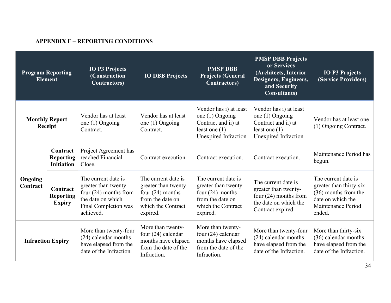## **APPENDIX F – REPORTING CONDITIONS**

| <b>Program Reporting</b><br><b>Element</b> |                                                   | <b>IO P3 Projects</b><br>(Construction<br><b>Contractors</b> )                                                                   | <b>IO DBB Projects</b>                                                                                                  | <b>PMSP DBB</b><br><b>Projects (General</b><br><b>Contractors</b> )                                                     | <b>PMSP DBB Projects</b><br>or Services<br>(Architects, Interior<br>Designers, Engineers,<br>and Security<br><b>Consultants</b> ) | <b>IO P3 Projects</b><br>(Service Providers)                                                                                |
|--------------------------------------------|---------------------------------------------------|----------------------------------------------------------------------------------------------------------------------------------|-------------------------------------------------------------------------------------------------------------------------|-------------------------------------------------------------------------------------------------------------------------|-----------------------------------------------------------------------------------------------------------------------------------|-----------------------------------------------------------------------------------------------------------------------------|
|                                            | <b>Monthly Report</b><br>Receipt                  | Vendor has at least<br>one (1) Ongoing<br>Contract.                                                                              | Vendor has at least<br>one (1) Ongoing<br>Contract.                                                                     | Vendor has i) at least<br>one $(1)$ Ongoing<br>Contract and ii) at<br>least one $(1)$<br>Unexpired Infraction           | Vendor has i) at least<br>one $(1)$ Ongoing<br>Contract and ii) at<br>least one $(1)$<br>Unexpired Infraction                     | Vendor has at least one<br>(1) Ongoing Contract.                                                                            |
|                                            | Contract<br><b>Reporting</b><br><b>Initiation</b> | Project Agreement has<br>reached Financial<br>Close.                                                                             | Contract execution.                                                                                                     | Contract execution.                                                                                                     | Contract execution.                                                                                                               | Maintenance Period has<br>begun.                                                                                            |
| Ongoing<br>Contract                        | Contract<br><b>Reporting</b><br><b>Expiry</b>     | The current date is<br>greater than twenty-<br>four $(24)$ months from<br>the date on which<br>Final Completion was<br>achieved. | The current date is<br>greater than twenty-<br>four $(24)$ months<br>from the date on<br>which the Contract<br>expired. | The current date is<br>greater than twenty-<br>four $(24)$ months<br>from the date on<br>which the Contract<br>expired. | The current date is<br>greater than twenty-<br>four (24) months from<br>the date on which the<br>Contract expired.                | The current date is<br>greater than thirty-six<br>(36) months from the<br>date on which the<br>Maintenance Period<br>ended. |
| <b>Infraction Expiry</b>                   |                                                   | More than twenty-four<br>(24) calendar months<br>have elapsed from the<br>date of the Infraction.                                | More than twenty-<br>four $(24)$ calendar<br>months have elapsed<br>from the date of the<br>Infraction.                 | More than twenty-<br>four $(24)$ calendar<br>months have elapsed<br>from the date of the<br>Infraction.                 | More than twenty-four<br>(24) calendar months<br>have elapsed from the<br>date of the Infraction.                                 | More than thirty-six<br>(36) calendar months<br>have elapsed from the<br>date of the Infraction.                            |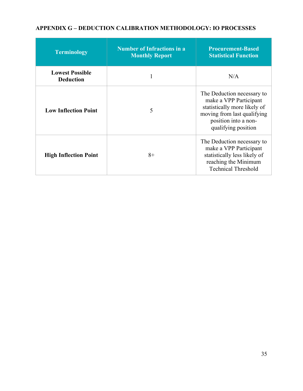#### **APPENDIX G – DEDUCTION CALIBRATION METHODOLOGY: IO PROCESSES**

| <b>Terminology</b>                         | <b>Number of Infractions in a</b><br><b>Monthly Report</b> | <b>Procurement-Based</b><br><b>Statistical Function</b>                                                                                                            |
|--------------------------------------------|------------------------------------------------------------|--------------------------------------------------------------------------------------------------------------------------------------------------------------------|
| <b>Lowest Possible</b><br><b>Deduction</b> |                                                            | N/A                                                                                                                                                                |
| <b>Low Inflection Point</b>                | 5                                                          | The Deduction necessary to<br>make a VPP Participant<br>statistically more likely of<br>moving from last qualifying<br>position into a non-<br>qualifying position |
| <b>High Inflection Point</b>               | $8+$                                                       | The Deduction necessary to<br>make a VPP Participant<br>statistically less likely of<br>reaching the Minimum<br><b>Technical Threshold</b>                         |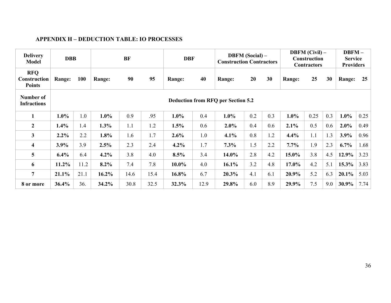# **APPENDIX H – DEDUCTION TABLE: IO PROCESSES**

| <b>Delivery</b><br><b>Model</b>                    | <b>DBB</b>                                |            |               | <b>BF</b> |      | <b>DBF</b> |      | <b>DBFM</b> (Social) –<br><b>Construction Contractors</b> |     | <b>DBFM</b> (Civil) –<br><b>Construction</b><br><b>Contractors</b> |         |      | DBFM-<br><b>Service</b><br><b>Providers</b> |          |      |
|----------------------------------------------------|-------------------------------------------|------------|---------------|-----------|------|------------|------|-----------------------------------------------------------|-----|--------------------------------------------------------------------|---------|------|---------------------------------------------|----------|------|
| <b>RFQ</b><br><b>Construction</b><br><b>Points</b> | Range:                                    | <b>100</b> | <b>Range:</b> | 90        | 95   | Range:     | 40   | Range:                                                    | 20  | 30                                                                 | Range:  | 25   | 30                                          | Range:   | 25   |
| Number of<br><b>Infractions</b>                    | <b>Deduction from RFQ per Section 5.2</b> |            |               |           |      |            |      |                                                           |     |                                                                    |         |      |                                             |          |      |
| 1                                                  | $1.0\%$                                   | 1.0        | $1.0\%$       | 0.9       | .95  | $1.0\%$    | 0.4  | $1.0\%$                                                   | 0.2 | 0.3                                                                | $1.0\%$ | 0.25 | 0.3                                         | $1.0\%$  | 0.25 |
| $\mathbf{2}$                                       | 1.4%                                      | 1.4        | 1.3%          | 1.1       | 1.2  | 1.5%       | 0.6  | 2.0%                                                      | 0.4 | 0.6                                                                | 2.1%    | 0.5  | 0.6                                         | $2.0\%$  | 0.49 |
| $\overline{\mathbf{3}}$                            | $2.2\%$                                   | 2.2        | 1.8%          | 1.6       | 1.7  | 2.6%       | 1.0  | 4.1%                                                      | 0.8 | 1.2                                                                | 4.4%    | 1.1  | 1.3                                         | 3.9%     | 0.96 |
| 4                                                  | 3.9%                                      | 3.9        | 2.5%          | 2.3       | 2.4  | $4.2\%$    | 1.7  | 7.3%                                                      | 1.5 | 2.2                                                                | 7.7%    | 1.9  | 2.3                                         | $6.7\%$  | 1.68 |
| 5 <sup>5</sup>                                     | $6.4\%$                                   | 6.4        | $4.2\%$       | 3.8       | 4.0  | 8.5%       | 3.4  | 14.0%                                                     | 2.8 | 4.2                                                                | 15.0%   | 3.8  | 4.5                                         | 12.9%    | 3.23 |
| 6                                                  | 11.2%                                     | 11.2       | $8.2\%$       | 7.4       | 7.8  | $10.0\%$   | 4.0  | 16.1%                                                     | 3.2 | 4.8                                                                | 17.0%   | 4.2  | 5.1                                         | $15.3\%$ | 3.83 |
| 7                                                  | 21.1%                                     | 21.1       | 16.2%         | 14.6      | 15.4 | 16.8%      | 6.7  | 20.3%                                                     | 4.1 | 6.1                                                                | 20.9%   | 5.2  | 6.3                                         | $20.1\%$ | 5.03 |
| 8 or more                                          | 36.4%                                     | 36.        | 34.2%         | 30.8      | 32.5 | 32.3%      | 12.9 | 29.8%                                                     | 6.0 | 8.9                                                                | 29.9%   | 7.5  | 9.0                                         | 30.9%    | 7.74 |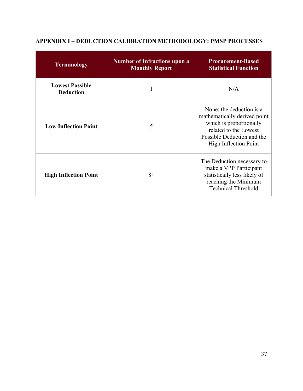| Terminology                                | <b>Number of Infractions upon a</b><br><b>Monthly Report</b> | <b>Procurement-Based</b><br><b>Statistical Function</b>                                                                                                                    |
|--------------------------------------------|--------------------------------------------------------------|----------------------------------------------------------------------------------------------------------------------------------------------------------------------------|
| <b>Lowest Possible</b><br><b>Deduction</b> | 1                                                            | N/A                                                                                                                                                                        |
| <b>Low Inflection Point</b>                | 5                                                            | None; the deduction is a<br>mathematically derived point<br>which is proportionally<br>related to the Lowest<br>Possible Deduction and the<br><b>High Inflection Point</b> |
| <b>High Inflection Point</b>               | $8+$                                                         | The Deduction necessary to<br>make a VPP Participant<br>statistically less likely of<br>reaching the Minimum<br><b>Technical Threshold</b>                                 |

# **APPENDIX I – DEDUCTION CALIBRATION METHODOLOGY: PMSP PROCESSES**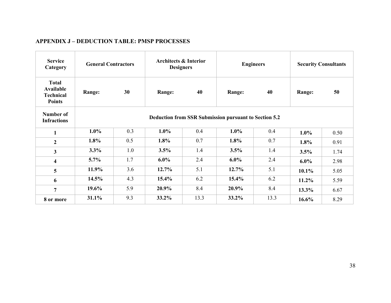| <b>Service</b><br>Category                                     | <b>General Contractors</b>                            |     | <b>Architects &amp; Interior</b><br><b>Designers</b> |      |         | <b>Engineers</b> | <b>Security Consultants</b> |      |        |    |
|----------------------------------------------------------------|-------------------------------------------------------|-----|------------------------------------------------------|------|---------|------------------|-----------------------------|------|--------|----|
| <b>Total</b><br>Available<br><b>Technical</b><br><b>Points</b> | 30<br>Range:                                          |     |                                                      |      | Range:  | 40               | Range:                      | 40   | Range: | 50 |
| Number of<br><b>Infractions</b>                                | Deduction from SSR Submission pursuant to Section 5.2 |     |                                                      |      |         |                  |                             |      |        |    |
| $\mathbf{1}$                                                   | $1.0\%$                                               | 0.3 | 1.0%                                                 | 0.4  | $1.0\%$ | 0.4              | $1.0\%$                     | 0.50 |        |    |
| $\overline{2}$                                                 | 1.8%                                                  | 0.5 | 1.8%                                                 | 0.7  | 1.8%    | 0.7              | 1.8%                        | 0.91 |        |    |
| $\mathbf{3}$                                                   | 3.3%                                                  | 1.0 | 3.5%                                                 | 1.4  | 3.5%    | 1.4              | 3.5%                        | 1.74 |        |    |
| 4                                                              | $5.7\%$                                               | 1.7 | $6.0\%$                                              | 2.4  | $6.0\%$ | 2.4              | $6.0\%$                     | 2.98 |        |    |
| 5                                                              | 11.9%                                                 | 3.6 | 12.7%                                                | 5.1  | 12.7%   | 5.1              | $10.1\%$                    | 5.05 |        |    |
| 6                                                              | 14.5%                                                 | 4.3 | 15.4%                                                | 6.2  | 15.4%   | 6.2              | 11.2%                       | 5.59 |        |    |
| $\overline{7}$                                                 | 19.6%                                                 | 5.9 | 20.9%                                                | 8.4  | 20.9%   | 8.4              | 13.3%                       | 6.67 |        |    |
| 8 or more                                                      | 31.1%                                                 | 9.3 | 33.2%                                                | 13.3 | 33.2%   | 13.3             | 16.6%                       | 8.29 |        |    |

#### **APPENDIX J – DEDUCTION TABLE: PMSP PROCESSES**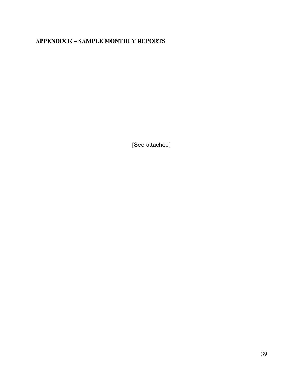### **APPENDIX K – SAMPLE MONTHLY REPORTS**

[See attached]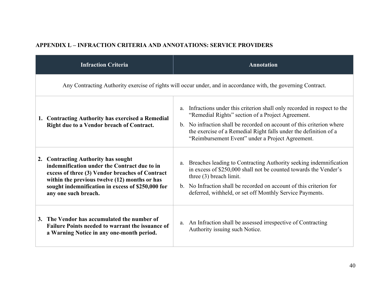# **APPENDIX L – INFRACTION CRITERIA AND ANNOTATIONS: SERVICE PROVIDERS**

| <b>Infraction Criteria</b>                                                                                                                                                                                                                                           | <b>Annotation</b>                                                                                                                                                                                                                                                                                                                                 |  |  |  |  |  |
|----------------------------------------------------------------------------------------------------------------------------------------------------------------------------------------------------------------------------------------------------------------------|---------------------------------------------------------------------------------------------------------------------------------------------------------------------------------------------------------------------------------------------------------------------------------------------------------------------------------------------------|--|--|--|--|--|
| Any Contracting Authority exercise of rights will occur under, and in accordance with, the governing Contract.                                                                                                                                                       |                                                                                                                                                                                                                                                                                                                                                   |  |  |  |  |  |
| 1. Contracting Authority has exercised a Remedial<br>Right due to a Vendor breach of Contract.                                                                                                                                                                       | Infractions under this criterion shall only recorded in respect to the<br>a.<br>"Remedial Rights" section of a Project Agreement.<br>No infraction shall be recorded on account of this criterion where<br>$\mathbf{b}$ .<br>the exercise of a Remedial Right falls under the definition of a<br>"Reimbursement Event" under a Project Agreement. |  |  |  |  |  |
| 2. Contracting Authority has sought<br>indemnification under the Contract due to in<br>excess of three (3) Vendor breaches of Contract<br>within the previous twelve (12) months or has<br>sought indemnification in excess of \$250,000 for<br>any one such breach. | Breaches leading to Contracting Authority seeking indemnification<br>a.<br>in excess of \$250,000 shall not be counted towards the Vender's<br>three $(3)$ breach limit.<br>No Infraction shall be recorded on account of this criterion for<br>$h_{-}$<br>deferred, withheld, or set off Monthly Service Payments.                               |  |  |  |  |  |
| 3. The Vendor has accumulated the number of<br><b>Failure Points needed to warrant the issuance of</b><br>a Warning Notice in any one-month period.                                                                                                                  | a. An Infraction shall be assessed irrespective of Contracting<br>Authority issuing such Notice.                                                                                                                                                                                                                                                  |  |  |  |  |  |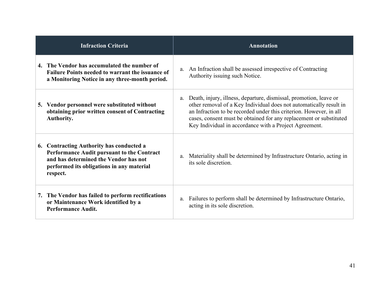| <b>Infraction Criteria</b>                                                                                                                                                               | <b>Annotation</b>                                                                                                                                                                                                                                                                                                                                   |
|------------------------------------------------------------------------------------------------------------------------------------------------------------------------------------------|-----------------------------------------------------------------------------------------------------------------------------------------------------------------------------------------------------------------------------------------------------------------------------------------------------------------------------------------------------|
| 4. The Vendor has accumulated the number of<br>Failure Points needed to warrant the issuance of<br>a Monitoring Notice in any three-month period.                                        | a. An Infraction shall be assessed irrespective of Contracting<br>Authority issuing such Notice.                                                                                                                                                                                                                                                    |
| 5. Vendor personnel were substituted without<br>obtaining prior written consent of Contracting<br>Authority.                                                                             | Death, injury, illness, departure, dismissal, promotion, leave or<br>a.<br>other removal of a Key Individual does not automatically result in<br>an Infraction to be recorded under this criterion. However, in all<br>cases, consent must be obtained for any replacement or substituted<br>Key Individual in accordance with a Project Agreement. |
| 6. Contracting Authority has conducted a<br>Performance Audit pursuant to the Contract<br>and has determined the Vendor has not<br>performed its obligations in any material<br>respect. | Materiality shall be determined by Infrastructure Ontario, acting in<br>a.<br>its sole discretion.                                                                                                                                                                                                                                                  |
| 7. The Vendor has failed to perform rectifications<br>or Maintenance Work identified by a<br><b>Performance Audit.</b>                                                                   | Failures to perform shall be determined by Infrastructure Ontario,<br>a.<br>acting in its sole discretion.                                                                                                                                                                                                                                          |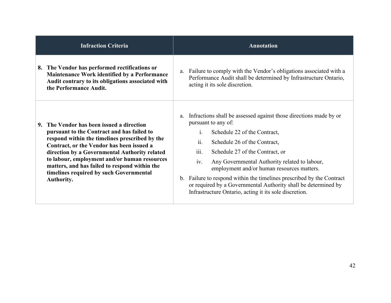| <b>Infraction Criteria</b>                                                                                                                                                                                                                                                                                                                                                                     | <b>Annotation</b>                                                                                                                                                                                                                                                                                                                                                                                                                                                                                                                             |
|------------------------------------------------------------------------------------------------------------------------------------------------------------------------------------------------------------------------------------------------------------------------------------------------------------------------------------------------------------------------------------------------|-----------------------------------------------------------------------------------------------------------------------------------------------------------------------------------------------------------------------------------------------------------------------------------------------------------------------------------------------------------------------------------------------------------------------------------------------------------------------------------------------------------------------------------------------|
| 8. The Vendor has performed rectifications or<br>Maintenance Work identified by a Performance<br>Audit contrary to its obligations associated with<br>the Performance Audit.                                                                                                                                                                                                                   | a. Failure to comply with the Vendor's obligations associated with a<br>Performance Audit shall be determined by Infrastructure Ontario,<br>acting it its sole discretion.                                                                                                                                                                                                                                                                                                                                                                    |
| The Vendor has been issued a direction<br>pursuant to the Contract and has failed to<br>respond within the timelines prescribed by the<br>Contract, or the Vendor has been issued a<br>direction by a Governmental Authority related<br>to labour, employment and/or human resources<br>matters, and has failed to respond within the<br>timelines required by such Governmental<br>Authority. | Infractions shall be assessed against those directions made by or<br>a.<br>pursuant to any of:<br>Schedule 22 of the Contract,<br>1 <sub>1</sub><br>ii.<br>Schedule 26 of the Contract,<br>iii.<br>Schedule 27 of the Contract, or<br>Any Governmental Authority related to labour,<br>iv.<br>employment and/or human resources matters.<br>b. Failure to respond within the timelines prescribed by the Contract<br>or required by a Governmental Authority shall be determined by<br>Infrastructure Ontario, acting it its sole discretion. |